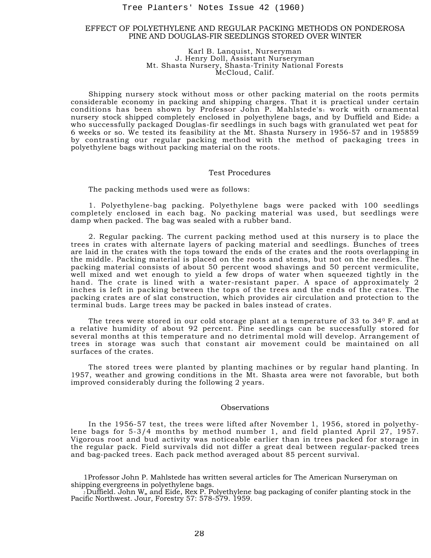### EFFECT OF POLYETHYLENE AND REGULAR PACKING METHODS ON PONDEROSA PINE AND DOUGLAS-FIR SEEDLINGS STORED OVER WINTER

#### Karl B. Lanquist, Nurseryman J. Henry Doll, Assistant Nurseryman Mt. Shasta Nursery, Shasta-Trinity National Forests McCloud, Calif.

Shipping nursery stock without moss or other packing material on the roots permits considerable economy in packing and shipping charges. That it is practical under certain conditions has been shown by Professor John P. Mahlstede's work with ornamental nursery stock shipped completely enclosed in polyethylene bags, and by Duffield and Eide<sub>2</sub> a who successfully packaged Douglas-fir seedlings in such bags with granulated wet peat for 6 weeks or so. We tested its feasibility at the Mt. Shasta Nursery in 1956-57 and in 195859 by contrasting our regular packing method with the method of packaging trees in polyethylene bags without packing material on the roots.

#### Test Procedures

The packing methods used were as follows:

1. Polyethylene-bag packing. Polyethylene bags were packed with 100 seedlings completely enclosed in each bag. No packing material was used, but seedlings were damp when packed. The bag was sealed with a rubber band.

2. Regular packing. The current packing method used at this nursery is to place the trees in crates with alternate layers of packing material and seedlings. Bunches of trees are laid in the crates with the tops toward the ends of the crates and the roots overlapping in the middle. Packing material is placed on the roots and stems, but not on the needles. The packing material consists of about 50 percent wood shavings and 50 percent vermiculite, well mixed and wet enough to yield a few drops of water when squeezed tightly in the hand. The crate is lined with a water-resistant paper. A space of approximately 2 inches is left in packing between the tops of the trees and the ends of the crates. The packing crates are of slat construction, which provides air circulation and protection to the terminal buds. Large trees may be packed in bales instead of crates. Tree Planters' Notes Issue 42 (1960)<br>
DP POLYETHYLENE AND REGULAR PACKING M<br>
PINE AND DOUGLAS-FIRS EDDLIMGS STORED<br>
MU. Sharafa B. Lenny Doll, Nessitant Nurseryman<br>
MU. Sharafa Nursery, Sharafa-Nurseryman<br>
MU. Sharafa Nurs

The trees were stored in our cold storage plant at a temperature of 33 to 34<sup>0</sup> F. and at a relative humidity of about 92 percent. Pine seedlings can be successfully stored for several months at this temperature and no detrimental mold will develop. Arrangement of trees in storage was such that constant air movement could be maintained on all surfaces of the crates.

The stored trees were planted by planting machines or by regular hand planting. In 1957, weather and growing conditions in the Mt. Shasta area were not favorable, but both improved considerably during the following 2 years.

# Observations

In the 1956-57 test, the trees were lifted after November 1, 1956, stored in polyethylene bags for 5-3/4 months by method number 1, and field planted April 27, 1957. Vigorous root and bud activity was noticeable earlier than in trees packed for storage in the regular pack. Field survivals did not differ a great deal between regular-packed trees and bag-packed trees. Each pack method averaged about 85 percent survival.

1Professor John P. Mahlstede has written several articles for The American Nurseryman on shipping evergreens in polyethylene bags.

 $_2$ Duffield. John W,, and Eide, Rex P. Polyethylene bag packaging of conifer planting stock in the Pacific Northwest. Jour, Forestry 57: 578-579. 1959.